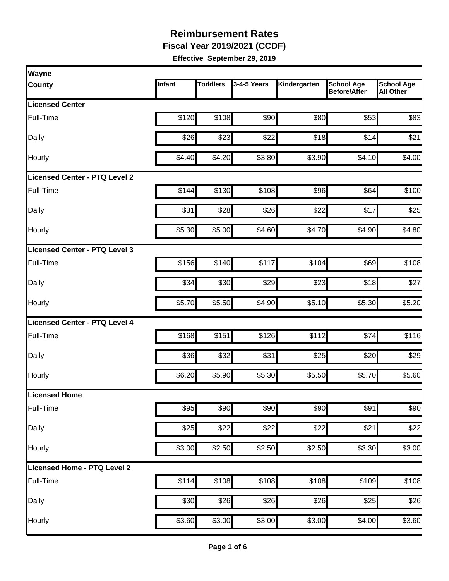**Fiscal Year 2019/2021 (CCDF)** 

| <b>Wayne</b>                         |        |                 |             |              |                                          |                                       |
|--------------------------------------|--------|-----------------|-------------|--------------|------------------------------------------|---------------------------------------|
| <b>County</b>                        | Infant | <b>Toddlers</b> | 3-4-5 Years | Kindergarten | <b>School Age</b><br><b>Before/After</b> | <b>School Age</b><br><b>All Other</b> |
| <b>Licensed Center</b>               |        |                 |             |              |                                          |                                       |
| Full-Time                            | \$120  | \$108           | \$90        | \$80         | \$53                                     | \$83                                  |
| Daily                                | \$26   | \$23            | \$22        | \$18         | \$14                                     | \$21                                  |
| Hourly                               | \$4.40 | \$4.20          | \$3.80      | \$3.90       | \$4.10                                   | \$4.00                                |
| <b>Licensed Center - PTQ Level 2</b> |        |                 |             |              |                                          |                                       |
| Full-Time                            | \$144  | \$130           | \$108       | \$96         | \$64                                     | \$100                                 |
| Daily                                | \$31   | \$28            | \$26        | \$22         | \$17                                     | \$25                                  |
| <b>Hourly</b>                        | \$5.30 | \$5.00          | \$4.60      | \$4.70       | \$4.90                                   | \$4.80                                |
| Licensed Center - PTQ Level 3        |        |                 |             |              |                                          |                                       |
| Full-Time                            | \$156  | \$140           | \$117       | \$104        | \$69                                     | \$108                                 |
| Daily                                | \$34   | \$30            | \$29        | \$23         | \$18                                     | \$27                                  |
| Hourly                               | \$5.70 | \$5.50          | \$4.90      | \$5.10       | \$5.30                                   | \$5.20                                |
| Licensed Center - PTQ Level 4        |        |                 |             |              |                                          |                                       |
| Full-Time                            | \$168  | \$151           | \$126       | \$112        | \$74                                     | \$116                                 |
| Daily                                | \$36   | \$32            | \$31        | \$25         | \$20                                     | \$29                                  |
| Hourly                               | \$6.20 | \$5.90          | \$5.30      | \$5.50       | \$5.70                                   | \$5.60                                |
| Licensed Home                        |        |                 |             |              |                                          |                                       |
| Full-Time                            | \$95   | \$90            | \$90        | \$90         | \$91                                     | \$90                                  |
| Daily                                | \$25   | \$22            | \$22        | \$22         | \$21                                     | \$22                                  |
| Hourly                               | \$3.00 | \$2.50          | \$2.50      | \$2.50       | \$3.30                                   | \$3.00                                |
| Licensed Home - PTQ Level 2          |        |                 |             |              |                                          |                                       |
| Full-Time                            | \$114  | \$108           | \$108       | \$108        | \$109                                    | \$108                                 |
| Daily                                | \$30   | \$26            | \$26        | \$26         | \$25                                     | \$26                                  |
| Hourly                               | \$3.60 | \$3.00          | \$3.00      | \$3.00       | \$4.00                                   | \$3.60                                |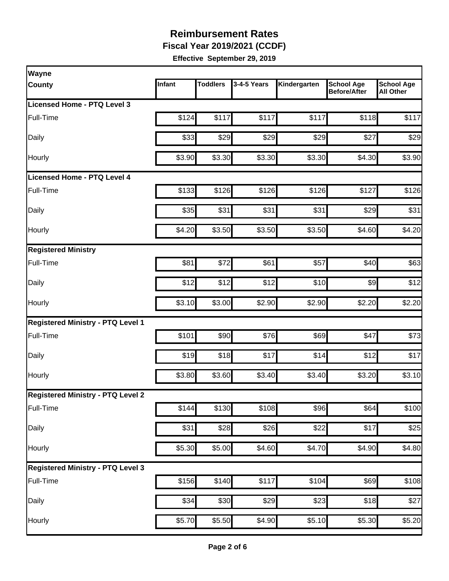**Fiscal Year 2019/2021 (CCDF)** 

| Wayne                                    |        |                 |             |                    |                                          |                                       |
|------------------------------------------|--------|-----------------|-------------|--------------------|------------------------------------------|---------------------------------------|
| <b>County</b>                            | Infant | <b>Toddlers</b> | 3-4-5 Years | Kindergarten       | <b>School Age</b><br><b>Before/After</b> | <b>School Age</b><br><b>All Other</b> |
| Licensed Home - PTQ Level 3              |        |                 |             |                    |                                          |                                       |
| Full-Time                                | \$124  | \$117           | \$117       | \$117              | \$118                                    | \$117                                 |
| Daily                                    | \$33   | \$29            | \$29        | \$29               | \$27                                     | \$29                                  |
| Hourly                                   | \$3.90 | \$3.30          | \$3.30      | \$3.30             | \$4.30                                   | \$3.90                                |
| <b>Licensed Home - PTQ Level 4</b>       |        |                 |             |                    |                                          |                                       |
| Full-Time                                | \$133  | \$126           | \$126       | \$126              | \$127                                    | \$126                                 |
| Daily                                    | \$35   | \$31            | \$31        | \$31               | \$29                                     | \$31                                  |
| Hourly                                   | \$4.20 | \$3.50          | \$3.50      | \$3.50             | \$4.60                                   | \$4.20                                |
| <b>Registered Ministry</b>               |        |                 |             |                    |                                          |                                       |
| Full-Time                                | \$81   | \$72            | \$61        | \$57               | \$40                                     | \$63                                  |
| Daily                                    | \$12   | \$12            | \$12        | \$10               | \$9                                      | \$12                                  |
| Hourly                                   | \$3.10 | \$3.00          | \$2.90      | \$2.90             | \$2.20                                   | \$2.20                                |
| <b>Registered Ministry - PTQ Level 1</b> |        |                 |             |                    |                                          |                                       |
| Full-Time                                | \$101  | \$90            | \$76        | \$69               | \$47                                     | \$73                                  |
| Daily                                    | \$19   | \$18            | \$17        | \$14               | \$12                                     | \$17                                  |
| Hourly                                   | \$3.80 | \$3.60          | \$3.40      | \$3.40             | \$3.20                                   | \$3.10                                |
| <b>Registered Ministry - PTQ Level 2</b> |        |                 |             |                    |                                          |                                       |
| Full-Time                                | \$144  | \$130           | \$108       | \$96               | \$64                                     | \$100                                 |
| <b>Daily</b>                             | \$31   | \$28            | \$26        | \$22               | \$17                                     | \$25                                  |
| Hourly                                   | \$5.30 | \$5.00          | \$4.60      | \$4.70             | \$4.90                                   | \$4.80                                |
| <b>Registered Ministry - PTQ Level 3</b> |        |                 |             |                    |                                          |                                       |
| Full-Time                                | \$156  | \$140           | \$117       | \$104              | \$69                                     | \$108                                 |
| Daily                                    | \$34   | \$30            | \$29        | \$23               | \$18                                     | \$27                                  |
| Hourly                                   | \$5.70 | \$5.50          | \$4.90      | $\overline{$}5.10$ | \$5.30                                   | \$5.20                                |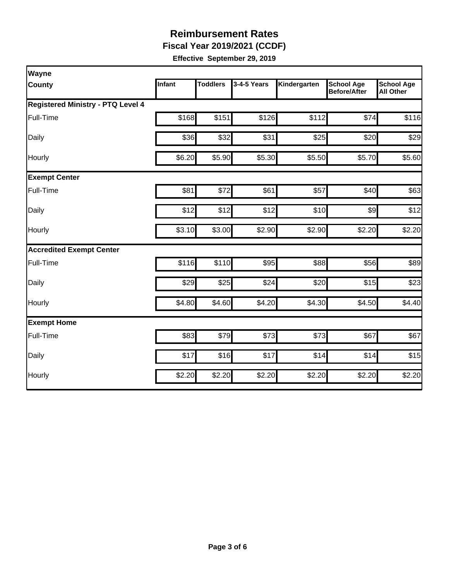**Fiscal Year 2019/2021 (CCDF)** 

| <b>Wayne</b>                             |        |                 |             |              |                                          |                                       |  |  |  |
|------------------------------------------|--------|-----------------|-------------|--------------|------------------------------------------|---------------------------------------|--|--|--|
| County                                   | Infant | <b>Toddlers</b> | 3-4-5 Years | Kindergarten | <b>School Age</b><br><b>Before/After</b> | <b>School Age</b><br><b>All Other</b> |  |  |  |
| <b>Registered Ministry - PTQ Level 4</b> |        |                 |             |              |                                          |                                       |  |  |  |
| Full-Time                                | \$168  | \$151           | \$126       | \$112        | \$74                                     | \$116                                 |  |  |  |
| Daily                                    | \$36   | \$32            | \$31        | \$25         | \$20                                     | \$29                                  |  |  |  |
| Hourly                                   | \$6.20 | \$5.90          | \$5.30      | \$5.50       | \$5.70                                   | \$5.60                                |  |  |  |
| <b>Exempt Center</b>                     |        |                 |             |              |                                          |                                       |  |  |  |
| Full-Time                                | \$81   | \$72            | \$61        | \$57         | \$40                                     | \$63                                  |  |  |  |
| Daily                                    | \$12   | \$12            | \$12        | \$10         | \$9                                      | \$12                                  |  |  |  |
| Hourly                                   | \$3.10 | \$3.00          | \$2.90      | \$2.90       | \$2.20                                   | \$2.20                                |  |  |  |
| <b>Accredited Exempt Center</b>          |        |                 |             |              |                                          |                                       |  |  |  |
| Full-Time                                | \$116  | \$110           | \$95        | \$88         | \$56                                     | \$89                                  |  |  |  |
| Daily                                    | \$29   | \$25            | \$24        | \$20         | \$15                                     | \$23                                  |  |  |  |
| Hourly                                   | \$4.80 | \$4.60          | \$4.20      | \$4.30       | \$4.50                                   | \$4.40                                |  |  |  |
| <b>Exempt Home</b>                       |        |                 |             |              |                                          |                                       |  |  |  |
| Full-Time                                | \$83   | \$79            | \$73        | \$73         | \$67                                     | \$67                                  |  |  |  |
| Daily                                    | \$17   | \$16            | \$17        | \$14         | \$14                                     | \$15                                  |  |  |  |
| Hourly                                   | \$2.20 | \$2.20          | \$2.20      | \$2.20       | \$2.20                                   | \$2.20                                |  |  |  |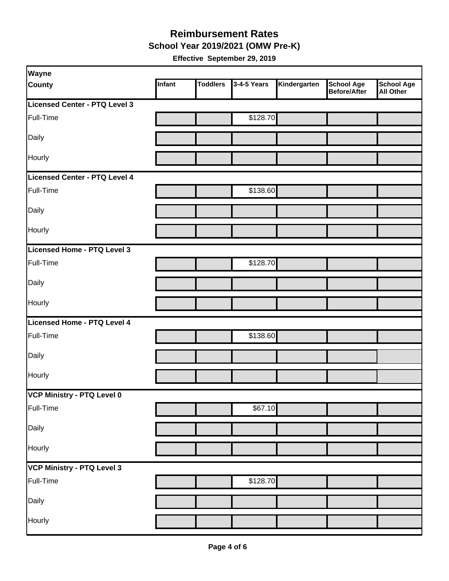#### **Reimbursement Rates School Year 2019/2021 (OMW Pre-K)**

|  | Effective September 29, 2019 |  |  |
|--|------------------------------|--|--|
|--|------------------------------|--|--|

| Wayne                         |        |                 |             |              |                                   |                                       |
|-------------------------------|--------|-----------------|-------------|--------------|-----------------------------------|---------------------------------------|
| <b>County</b>                 | Infant | <b>Toddlers</b> | 3-4-5 Years | Kindergarten | <b>School Age</b><br>Before/After | <b>School Age</b><br><b>All Other</b> |
| Licensed Center - PTQ Level 3 |        |                 |             |              |                                   |                                       |
| Full-Time                     |        |                 | \$128.70    |              |                                   |                                       |
| Daily                         |        |                 |             |              |                                   |                                       |
| Hourly                        |        |                 |             |              |                                   |                                       |
| Licensed Center - PTQ Level 4 |        |                 |             |              |                                   |                                       |
| Full-Time                     |        |                 | \$138.60    |              |                                   |                                       |
| Daily                         |        |                 |             |              |                                   |                                       |
| Hourly                        |        |                 |             |              |                                   |                                       |
| Licensed Home - PTQ Level 3   |        |                 |             |              |                                   |                                       |
| Full-Time                     |        |                 | \$128.70    |              |                                   |                                       |
| Daily                         |        |                 |             |              |                                   |                                       |
| Hourly                        |        |                 |             |              |                                   |                                       |
| Licensed Home - PTQ Level 4   |        |                 |             |              |                                   |                                       |
| Full-Time                     |        |                 | \$138.60    |              |                                   |                                       |
| Daily                         |        |                 |             |              |                                   |                                       |
| Hourly                        |        |                 |             |              |                                   |                                       |
| VCP Ministry - PTQ Level 0    |        |                 |             |              |                                   |                                       |
| Full-Time                     |        |                 | \$67.10     |              |                                   |                                       |
| Daily                         |        |                 |             |              |                                   |                                       |
| Hourly                        |        |                 |             |              |                                   |                                       |
| VCP Ministry - PTQ Level 3    |        |                 |             |              |                                   |                                       |
| Full-Time                     |        |                 | \$128.70    |              |                                   |                                       |
| Daily                         |        |                 |             |              |                                   |                                       |
| Hourly                        |        |                 |             |              |                                   |                                       |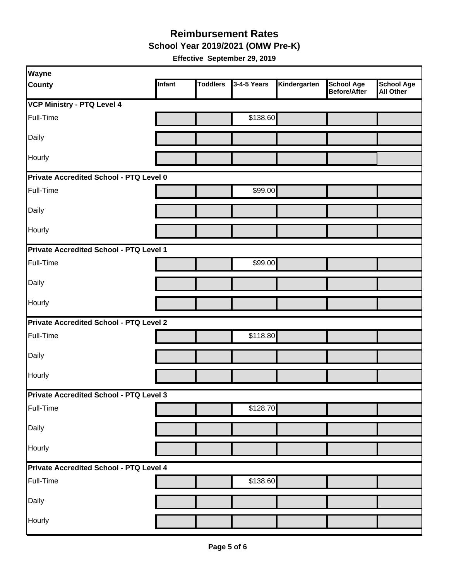**School Year 2019/2021 (OMW Pre-K)** 

| Wayne                                   |               |                 |             |              |                                          |                                       |  |  |
|-----------------------------------------|---------------|-----------------|-------------|--------------|------------------------------------------|---------------------------------------|--|--|
| <b>County</b>                           | <b>Infant</b> | <b>Toddlers</b> | 3-4-5 Years | Kindergarten | <b>School Age</b><br><b>Before/After</b> | <b>School Age</b><br><b>All Other</b> |  |  |
| <b>VCP Ministry - PTQ Level 4</b>       |               |                 |             |              |                                          |                                       |  |  |
| Full-Time                               |               |                 | \$138.60    |              |                                          |                                       |  |  |
| Daily                                   |               |                 |             |              |                                          |                                       |  |  |
| Hourly                                  |               |                 |             |              |                                          |                                       |  |  |
| Private Accredited School - PTQ Level 0 |               |                 |             |              |                                          |                                       |  |  |
| Full-Time                               |               |                 | \$99.00     |              |                                          |                                       |  |  |
| Daily                                   |               |                 |             |              |                                          |                                       |  |  |
| Hourly                                  |               |                 |             |              |                                          |                                       |  |  |
| Private Accredited School - PTQ Level 1 |               |                 |             |              |                                          |                                       |  |  |
| Full-Time                               |               |                 | \$99.00     |              |                                          |                                       |  |  |
| Daily                                   |               |                 |             |              |                                          |                                       |  |  |
| <b>Hourly</b>                           |               |                 |             |              |                                          |                                       |  |  |
| Private Accredited School - PTQ Level 2 |               |                 |             |              |                                          |                                       |  |  |
| Full-Time                               |               |                 | \$118.80    |              |                                          |                                       |  |  |
| Daily                                   |               |                 |             |              |                                          |                                       |  |  |
| Hourly                                  |               |                 |             |              |                                          |                                       |  |  |
| Private Accredited School - PTQ Level 3 |               |                 |             |              |                                          |                                       |  |  |
| Full-Time                               |               |                 | \$128.70    |              |                                          |                                       |  |  |
| Daily                                   |               |                 |             |              |                                          |                                       |  |  |
| Hourly                                  |               |                 |             |              |                                          |                                       |  |  |
| Private Accredited School - PTQ Level 4 |               |                 |             |              |                                          |                                       |  |  |
| Full-Time                               |               |                 | \$138.60    |              |                                          |                                       |  |  |
| Daily                                   |               |                 |             |              |                                          |                                       |  |  |
| Hourly                                  |               |                 |             |              |                                          |                                       |  |  |